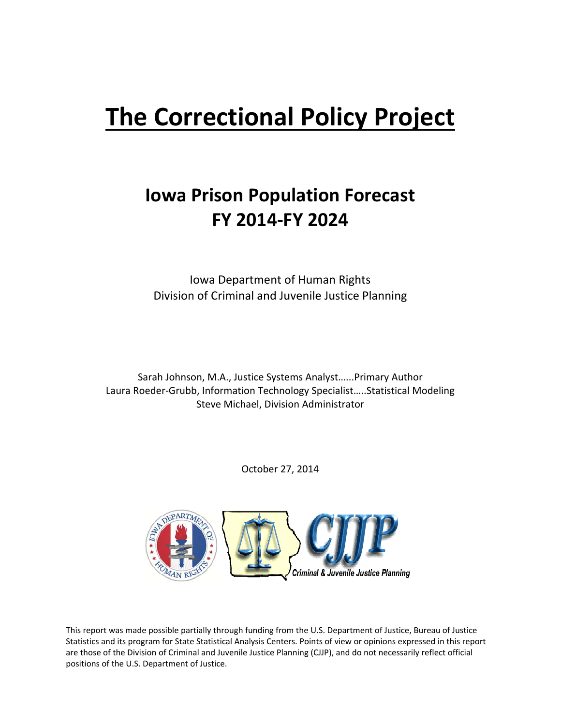# **The Correctional Policy Project**

## **Iowa Prison Population Forecast FY 2014‐FY 2024**

Iowa Department of Human Rights Division of Criminal and Juvenile Justice Planning

Sarah Johnson, M.A., Justice Systems Analyst…...Primary Author Laura Roeder‐Grubb, Information Technology Specialist…..Statistical Modeling Steve Michael, Division Administrator

October 27, 2014



This report was made possible partially through funding from the U.S. Department of Justice, Bureau of Justice Statistics and its program for State Statistical Analysis Centers. Points of view or opinions expressed in this report are those of the Division of Criminal and Juvenile Justice Planning (CJJP), and do not necessarily reflect official positions of the U.S. Department of Justice.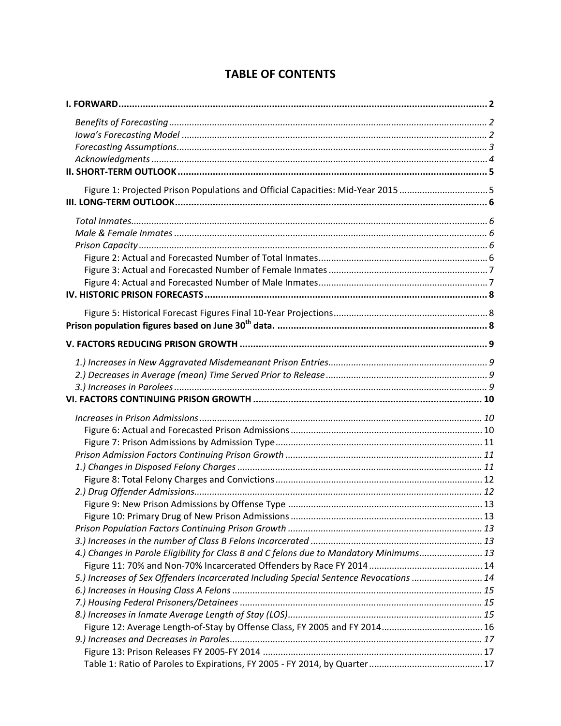## **TABLE OF CONTENTS**

| Figure 1: Projected Prison Populations and Official Capacities: Mid-Year 2015 5         |  |
|-----------------------------------------------------------------------------------------|--|
|                                                                                         |  |
|                                                                                         |  |
|                                                                                         |  |
|                                                                                         |  |
|                                                                                         |  |
|                                                                                         |  |
|                                                                                         |  |
|                                                                                         |  |
|                                                                                         |  |
|                                                                                         |  |
|                                                                                         |  |
|                                                                                         |  |
|                                                                                         |  |
|                                                                                         |  |
|                                                                                         |  |
|                                                                                         |  |
|                                                                                         |  |
|                                                                                         |  |
|                                                                                         |  |
|                                                                                         |  |
|                                                                                         |  |
|                                                                                         |  |
|                                                                                         |  |
|                                                                                         |  |
|                                                                                         |  |
|                                                                                         |  |
|                                                                                         |  |
|                                                                                         |  |
| 4.) Changes in Parole Eligibility for Class B and C felons due to Mandatory Minimums 13 |  |
|                                                                                         |  |
| 5.) Increases of Sex Offenders Incarcerated Including Special Sentence Revocations  14  |  |
|                                                                                         |  |
|                                                                                         |  |
|                                                                                         |  |
|                                                                                         |  |
|                                                                                         |  |
|                                                                                         |  |
|                                                                                         |  |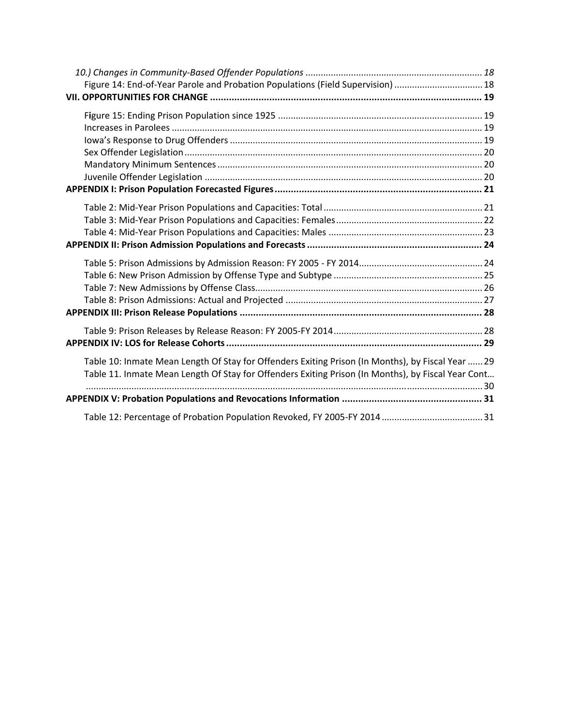| Figure 14: End-of-Year Parole and Probation Populations (Field Supervision)  18                                                                                                                         |  |
|---------------------------------------------------------------------------------------------------------------------------------------------------------------------------------------------------------|--|
|                                                                                                                                                                                                         |  |
|                                                                                                                                                                                                         |  |
|                                                                                                                                                                                                         |  |
|                                                                                                                                                                                                         |  |
|                                                                                                                                                                                                         |  |
|                                                                                                                                                                                                         |  |
|                                                                                                                                                                                                         |  |
|                                                                                                                                                                                                         |  |
|                                                                                                                                                                                                         |  |
|                                                                                                                                                                                                         |  |
| Table 10: Inmate Mean Length Of Stay for Offenders Exiting Prison (In Months), by Fiscal Year  29<br>Table 11. Inmate Mean Length Of Stay for Offenders Exiting Prison (In Months), by Fiscal Year Cont |  |
|                                                                                                                                                                                                         |  |
|                                                                                                                                                                                                         |  |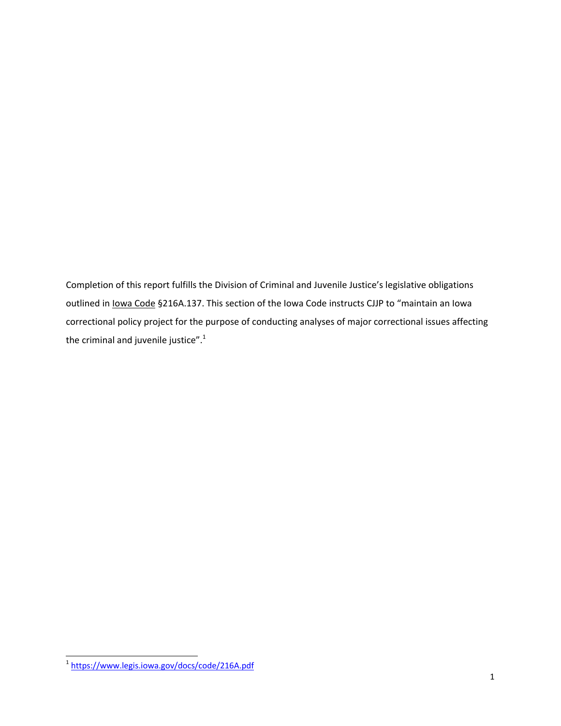Completion of this report fulfills the Division of Criminal and Juvenile Justice's legislative obligations outlined in Iowa Code §216A.137. This section of the Iowa Code instructs CJJP to "maintain an Iowa correctional policy project for the purpose of conducting analyses of major correctional issues affecting the criminal and juvenile justice". $1$ 

 $\overline{a}$ 

<sup>&</sup>lt;sup>1</sup>https://www.legis.iowa.gov/docs/code/216A.pdf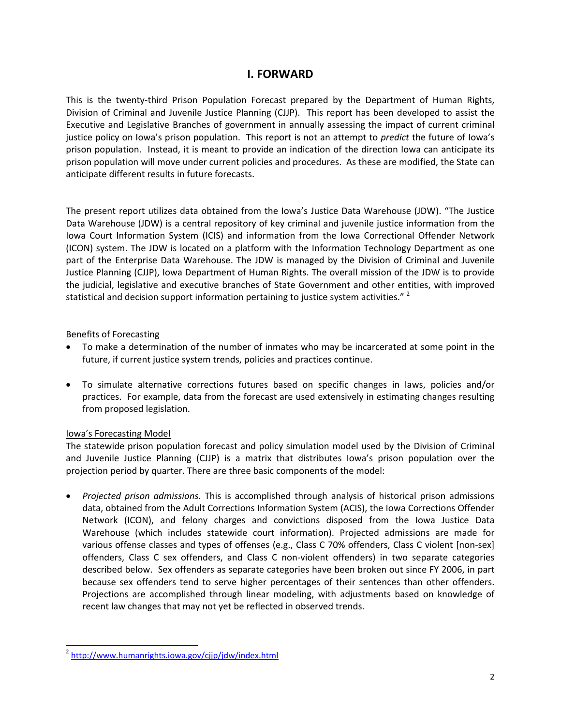## **I. FORWARD**

This is the twenty-third Prison Population Forecast prepared by the Department of Human Rights, Division of Criminal and Juvenile Justice Planning (CJJP). This report has been developed to assist the Executive and Legislative Branches of government in annually assessing the impact of current criminal justice policy on Iowa's prison population. This report is not an attempt to *predict* the future of Iowa's prison population. Instead, it is meant to provide an indication of the direction Iowa can anticipate its prison population will move under current policies and procedures. As these are modified, the State can anticipate different results in future forecasts.

The present report utilizes data obtained from the Iowa's Justice Data Warehouse (JDW). "The Justice Data Warehouse (JDW) is a central repository of key criminal and juvenile justice information from the Iowa Court Information System (ICIS) and information from the Iowa Correctional Offender Network (ICON) system. The JDW is located on a platform with the Information Technology Department as one part of the Enterprise Data Warehouse. The JDW is managed by the Division of Criminal and Juvenile Justice Planning (CJJP), Iowa Department of Human Rights. The overall mission of the JDW is to provide the judicial, legislative and executive branches of State Government and other entities, with improved statistical and decision support information pertaining to justice system activities."  $2^2$ 

#### Benefits of Forecasting

- To make a determination of the number of inmates who may be incarcerated at some point in the future, if current justice system trends, policies and practices continue.
- To simulate alternative corrections futures based on specific changes in laws, policies and/or practices. For example, data from the forecast are used extensively in estimating changes resulting from proposed legislation.

#### Iowa's Forecasting Model

The statewide prison population forecast and policy simulation model used by the Division of Criminal and Juvenile Justice Planning (CJJP) is a matrix that distributes Iowa's prison population over the projection period by quarter. There are three basic components of the model:

 *Projected prison admissions.* This is accomplished through analysis of historical prison admissions data, obtained from the Adult Corrections Information System (ACIS), the Iowa Corrections Offender Network (ICON), and felony charges and convictions disposed from the Iowa Justice Data Warehouse (which includes statewide court information). Projected admissions are made for various offense classes and types of offenses (e.g., Class C 70% offenders, Class C violent [non‐sex] offenders, Class C sex offenders, and Class C non‐violent offenders) in two separate categories described below. Sex offenders as separate categories have been broken out since FY 2006, in part because sex offenders tend to serve higher percentages of their sentences than other offenders. Projections are accomplished through linear modeling, with adjustments based on knowledge of recent law changes that may not yet be reflected in observed trends.

 $\overline{a}$ <sup>2</sup> http://www.humanrights.iowa.gov/cjjp/jdw/index.html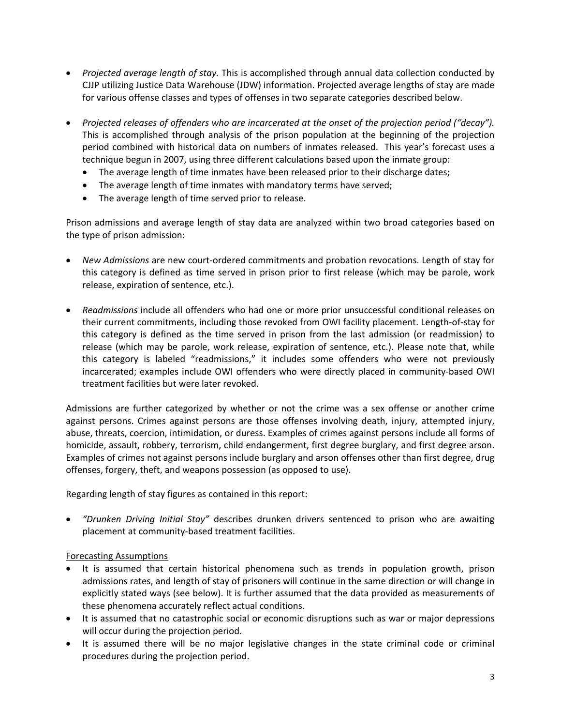- *Projected average length of stay.* This is accomplished through annual data collection conducted by CJJP utilizing Justice Data Warehouse (JDW) information. Projected average lengths of stay are made for various offense classes and types of offenses in two separate categories described below.
- *Projected releases of offenders who are incarcerated at the onset of the projection period ("decay").* This is accomplished through analysis of the prison population at the beginning of the projection period combined with historical data on numbers of inmates released. This year's forecast uses a technique begun in 2007, using three different calculations based upon the inmate group:
	- The average length of time inmates have been released prior to their discharge dates;
	- The average length of time inmates with mandatory terms have served;
	- The average length of time served prior to release.

Prison admissions and average length of stay data are analyzed within two broad categories based on the type of prison admission:

- *New Admissions* are new court-ordered commitments and probation revocations. Length of stay for this category is defined as time served in prison prior to first release (which may be parole, work release, expiration of sentence, etc.).
- *Readmissions* include all offenders who had one or more prior unsuccessful conditional releases on their current commitments, including those revoked from OWI facility placement. Length‐of‐stay for this category is defined as the time served in prison from the last admission (or readmission) to release (which may be parole, work release, expiration of sentence, etc.). Please note that, while this category is labeled "readmissions," it includes some offenders who were not previously incarcerated; examples include OWI offenders who were directly placed in community‐based OWI treatment facilities but were later revoked.

Admissions are further categorized by whether or not the crime was a sex offense or another crime against persons. Crimes against persons are those offenses involving death, injury, attempted injury, abuse, threats, coercion, intimidation, or duress. Examples of crimes against persons include all forms of homicide, assault, robbery, terrorism, child endangerment, first degree burglary, and first degree arson. Examples of crimes not against persons include burglary and arson offenses other than first degree, drug offenses, forgery, theft, and weapons possession (as opposed to use).

Regarding length of stay figures as contained in this report:

 *"Drunken Driving Initial Stay"* describes drunken drivers sentenced to prison who are awaiting placement at community‐based treatment facilities.

#### Forecasting Assumptions

- It is assumed that certain historical phenomena such as trends in population growth, prison admissions rates, and length of stay of prisoners will continue in the same direction or will change in explicitly stated ways (see below). It is further assumed that the data provided as measurements of these phenomena accurately reflect actual conditions.
- It is assumed that no catastrophic social or economic disruptions such as war or major depressions will occur during the projection period.
- It is assumed there will be no major legislative changes in the state criminal code or criminal procedures during the projection period.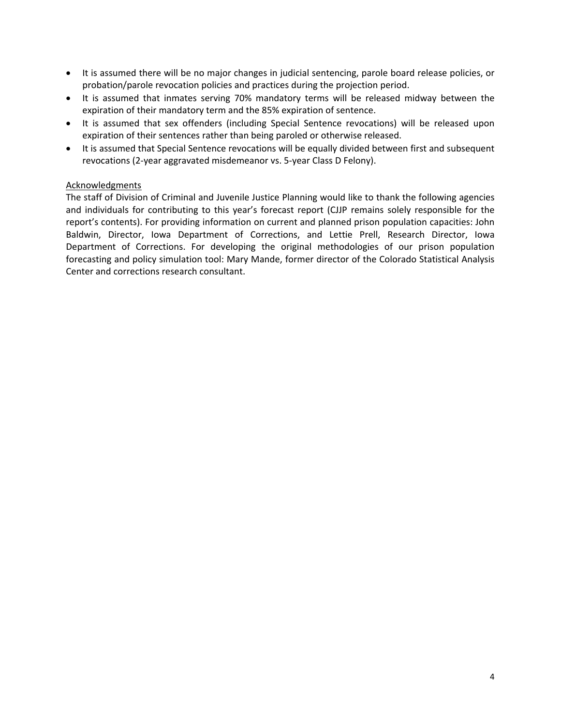- It is assumed there will be no major changes in judicial sentencing, parole board release policies, or probation/parole revocation policies and practices during the projection period.
- It is assumed that inmates serving 70% mandatory terms will be released midway between the expiration of their mandatory term and the 85% expiration of sentence.
- It is assumed that sex offenders (including Special Sentence revocations) will be released upon expiration of their sentences rather than being paroled or otherwise released.
- It is assumed that Special Sentence revocations will be equally divided between first and subsequent revocations (2‐year aggravated misdemeanor vs. 5‐year Class D Felony).

#### Acknowledgments

The staff of Division of Criminal and Juvenile Justice Planning would like to thank the following agencies and individuals for contributing to this year's forecast report (CJJP remains solely responsible for the report's contents). For providing information on current and planned prison population capacities: John Baldwin, Director, Iowa Department of Corrections, and Lettie Prell, Research Director, Iowa Department of Corrections. For developing the original methodologies of our prison population forecasting and policy simulation tool: Mary Mande, former director of the Colorado Statistical Analysis Center and corrections research consultant.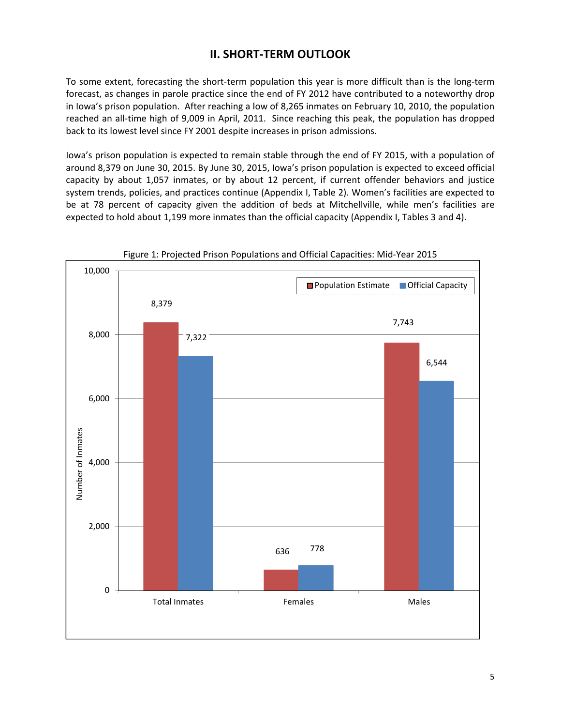## **II. SHORT‐TERM OUTLOOK**

To some extent, forecasting the short‐term population this year is more difficult than is the long‐term forecast, as changes in parole practice since the end of FY 2012 have contributed to a noteworthy drop in Iowa's prison population. After reaching a low of 8,265 inmates on February 10, 2010, the population reached an all-time high of 9,009 in April, 2011. Since reaching this peak, the population has dropped back to its lowest level since FY 2001 despite increases in prison admissions.

Iowa's prison population is expected to remain stable through the end of FY 2015, with a population of around 8,379 on June 30, 2015. By June 30, 2015, Iowa's prison population is expected to exceed official capacity by about 1,057 inmates, or by about 12 percent, if current offender behaviors and justice system trends, policies, and practices continue (Appendix I, Table 2). Women's facilities are expected to be at 78 percent of capacity given the addition of beds at Mitchellville, while men's facilities are expected to hold about 1,199 more inmates than the official capacity (Appendix I, Tables 3 and 4).



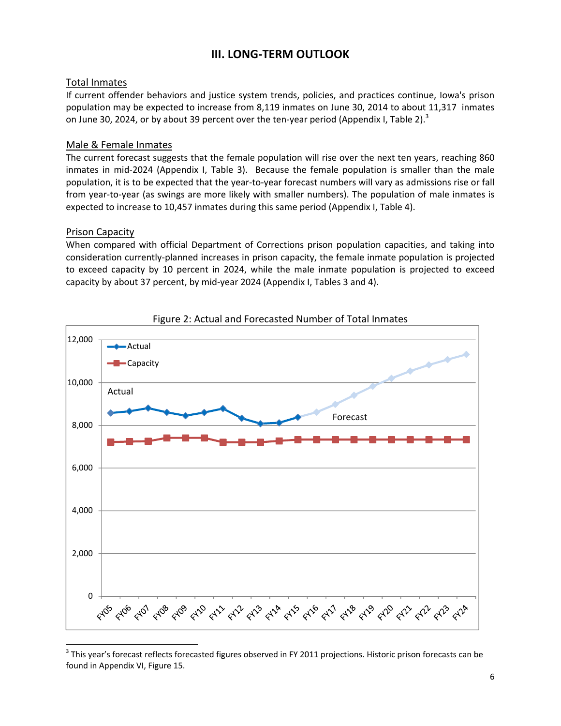## **III. LONG‐TERM OUTLOOK**

#### Total Inmates

If current offender behaviors and justice system trends, policies, and practices continue, Iowa's prison population may be expected to increase from 8,119 inmates on June 30, 2014 to about 11,317 inmates on June 30, 2024, or by about 39 percent over the ten-year period (Appendix I, Table 2).<sup>3</sup>

#### Male & Female Inmates

The current forecast suggests that the female population will rise over the next ten years, reaching 860 inmates in mid-2024 (Appendix I, Table 3). Because the female population is smaller than the male population, it is to be expected that the year‐to‐year forecast numbers will vary as admissions rise or fall from year‐to‐year (as swings are more likely with smaller numbers). The population of male inmates is expected to increase to 10,457 inmates during this same period (Appendix I, Table 4).

#### Prison Capacity

-

When compared with official Department of Corrections prison population capacities, and taking into consideration currently‐planned increases in prison capacity, the female inmate population is projected to exceed capacity by 10 percent in 2024, while the male inmate population is projected to exceed capacity by about 37 percent, by mid‐year 2024 (Appendix I, Tables 3 and 4).





<sup>&</sup>lt;sup>3</sup> This year's forecast reflects forecasted figures observed in FY 2011 projections. Historic prison forecasts can be found in Appendix VI, Figure 15.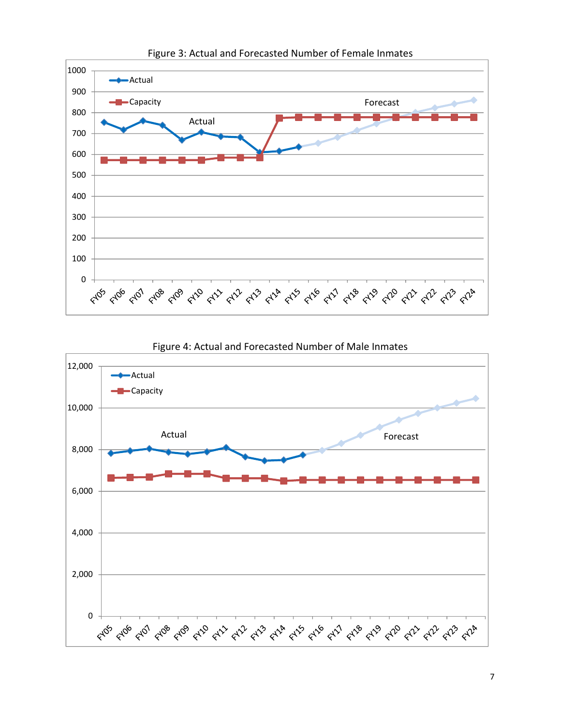

Figure 3: Actual and Forecasted Number of Female Inmates



Figure 4: Actual and Forecasted Number of Male Inmates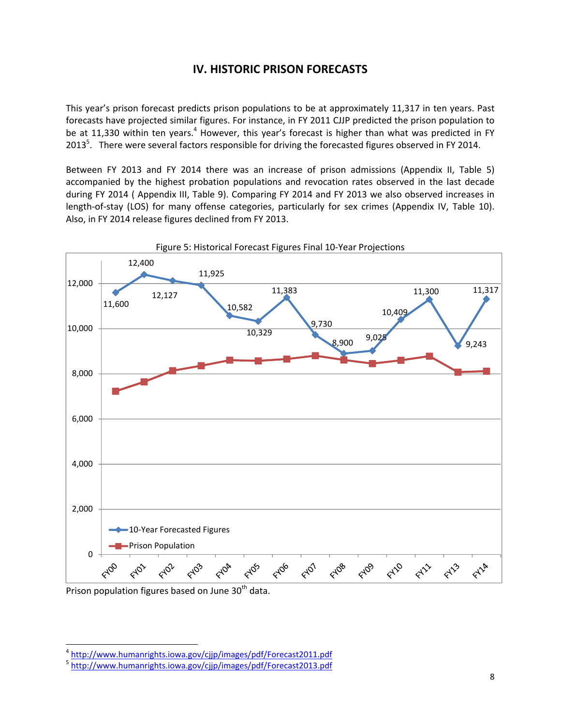## **IV. HISTORIC PRISON FORECASTS**

This year's prison forecast predicts prison populations to be at approximately 11,317 in ten years. Past forecasts have projected similar figures. For instance, in FY 2011 CJJP predicted the prison population to be at 11,330 within ten years.<sup>4</sup> However, this year's forecast is higher than what was predicted in FY 2013<sup>5</sup>. There were several factors responsible for driving the forecasted figures observed in FY 2014.

Between FY 2013 and FY 2014 there was an increase of prison admissions (Appendix II, Table 5) accompanied by the highest probation populations and revocation rates observed in the last decade during FY 2014 ( Appendix III, Table 9). Comparing FY 2014 and FY 2013 we also observed increases in length-of-stay (LOS) for many offense categories, particularly for sex crimes (Appendix IV, Table 10). Also, in FY 2014 release figures declined from FY 2013.



Prison population figures based on June 30<sup>th</sup> data.

 $\overline{a}$ 

<sup>&</sup>lt;sup>4</sup> http://www.humanrights.iowa.gov/cjjp/images/pdf/Forecast2011.pdf<br><sup>5</sup> http://www.humanrights.iowa.gov/cjjp/images/pdf/Forecast2013.pdf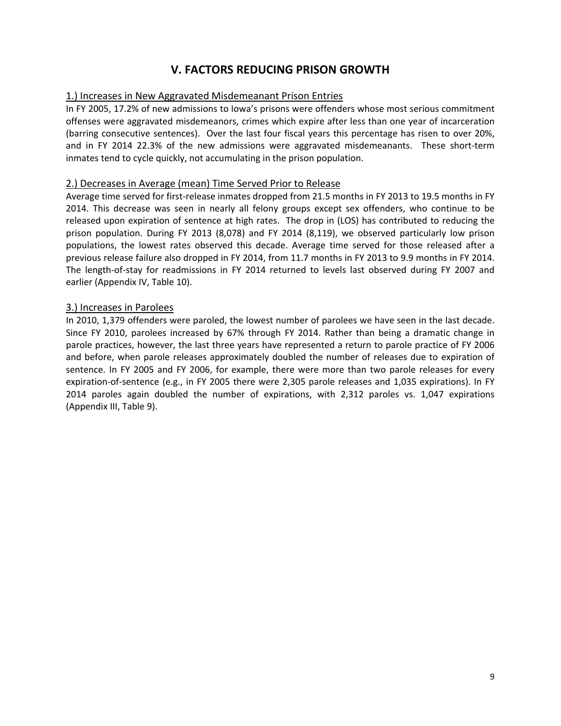## **V. FACTORS REDUCING PRISON GROWTH**

#### 1.) Increases in New Aggravated Misdemeanant Prison Entries

In FY 2005, 17.2% of new admissions to Iowa's prisons were offenders whose most serious commitment offenses were aggravated misdemeanors, crimes which expire after less than one year of incarceration (barring consecutive sentences). Over the last four fiscal years this percentage has risen to over 20%, and in FY 2014 22.3% of the new admissions were aggravated misdemeanants. These short-term inmates tend to cycle quickly, not accumulating in the prison population.

#### 2.) Decreases in Average (mean) Time Served Prior to Release

Average time served for first‐release inmates dropped from 21.5 months in FY 2013 to 19.5 months in FY 2014. This decrease was seen in nearly all felony groups except sex offenders, who continue to be released upon expiration of sentence at high rates. The drop in (LOS) has contributed to reducing the prison population. During FY 2013 (8,078) and FY 2014 (8,119), we observed particularly low prison populations, the lowest rates observed this decade. Average time served for those released after a previous release failure also dropped in FY 2014, from 11.7 months in FY 2013 to 9.9 months in FY 2014. The length-of-stay for readmissions in FY 2014 returned to levels last observed during FY 2007 and earlier (Appendix IV, Table 10).

#### 3.) Increases in Parolees

In 2010, 1,379 offenders were paroled, the lowest number of parolees we have seen in the last decade. Since FY 2010, parolees increased by 67% through FY 2014. Rather than being a dramatic change in parole practices, however, the last three years have represented a return to parole practice of FY 2006 and before, when parole releases approximately doubled the number of releases due to expiration of sentence. In FY 2005 and FY 2006, for example, there were more than two parole releases for every expiration‐of‐sentence (e.g., in FY 2005 there were 2,305 parole releases and 1,035 expirations). In FY 2014 paroles again doubled the number of expirations, with 2,312 paroles vs. 1,047 expirations (Appendix III, Table 9).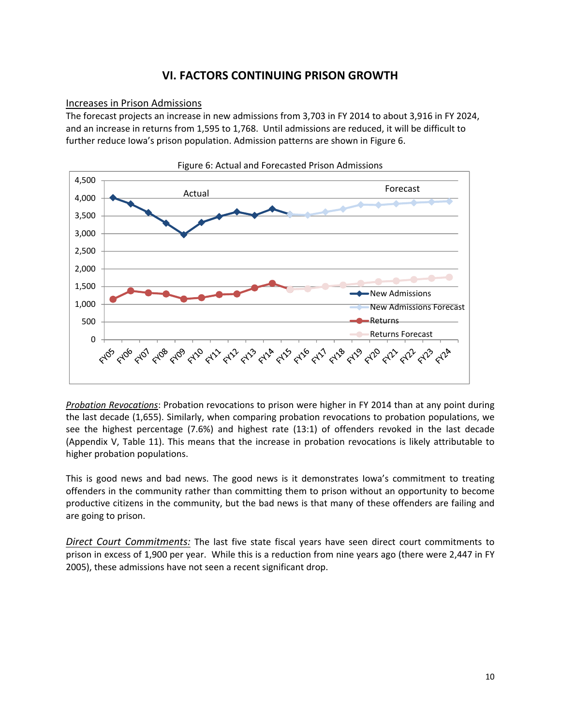## **VI. FACTORS CONTINUING PRISON GROWTH**

#### Increases in Prison Admissions

The forecast projects an increase in new admissions from 3,703 in FY 2014 to about 3,916 in FY 2024, and an increase in returns from 1,595 to 1,768. Until admissions are reduced, it will be difficult to further reduce Iowa's prison population. Admission patterns are shown in Figure 6.



*Probation Revocations*: Probation revocations to prison were higher in FY 2014 than at any point during the last decade (1,655). Similarly, when comparing probation revocations to probation populations, we see the highest percentage (7.6%) and highest rate (13:1) of offenders revoked in the last decade (Appendix V, Table 11). This means that the increase in probation revocations is likely attributable to higher probation populations.

This is good news and bad news. The good news is it demonstrates Iowa's commitment to treating offenders in the community rather than committing them to prison without an opportunity to become productive citizens in the community, but the bad news is that many of these offenders are failing and are going to prison.

*Direct Court Commitments:* The last five state fiscal years have seen direct court commitments to prison in excess of 1,900 per year. While this is a reduction from nine years ago (there were 2,447 in FY 2005), these admissions have not seen a recent significant drop.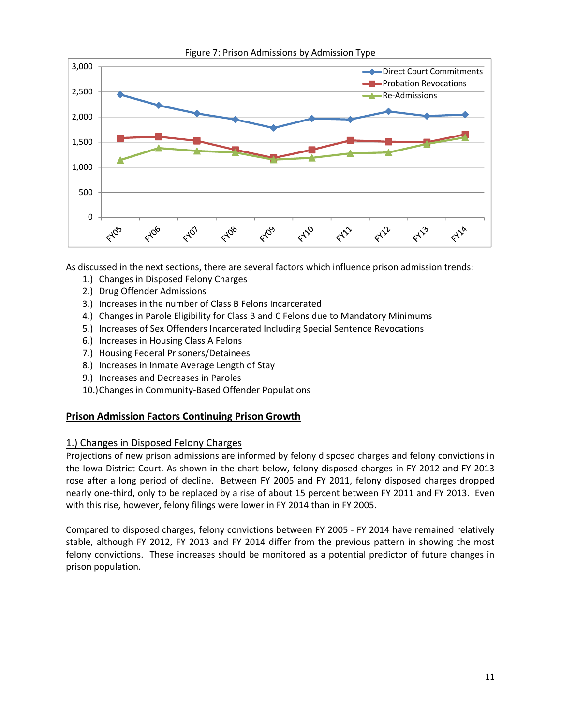

As discussed in the next sections, there are several factors which influence prison admission trends:

- 1.) Changes in Disposed Felony Charges
- 2.) Drug Offender Admissions
- 3.) Increases in the number of Class B Felons Incarcerated
- 4.) Changes in Parole Eligibility for Class B and C Felons due to Mandatory Minimums
- 5.) Increases of Sex Offenders Incarcerated Including Special Sentence Revocations
- 6.) Increases in Housing Class A Felons
- 7.) Housing Federal Prisoners/Detainees
- 8.) Increases in Inmate Average Length of Stay
- 9.) Increases and Decreases in Paroles
- 10.)Changes in Community‐Based Offender Populations

#### **Prison Admission Factors Continuing Prison Growth**

#### 1.) Changes in Disposed Felony Charges

Projections of new prison admissions are informed by felony disposed charges and felony convictions in the Iowa District Court. As shown in the chart below, felony disposed charges in FY 2012 and FY 2013 rose after a long period of decline. Between FY 2005 and FY 2011, felony disposed charges dropped nearly one-third, only to be replaced by a rise of about 15 percent between FY 2011 and FY 2013. Even with this rise, however, felony filings were lower in FY 2014 than in FY 2005.

Compared to disposed charges, felony convictions between FY 2005 ‐ FY 2014 have remained relatively stable, although FY 2012, FY 2013 and FY 2014 differ from the previous pattern in showing the most felony convictions. These increases should be monitored as a potential predictor of future changes in prison population.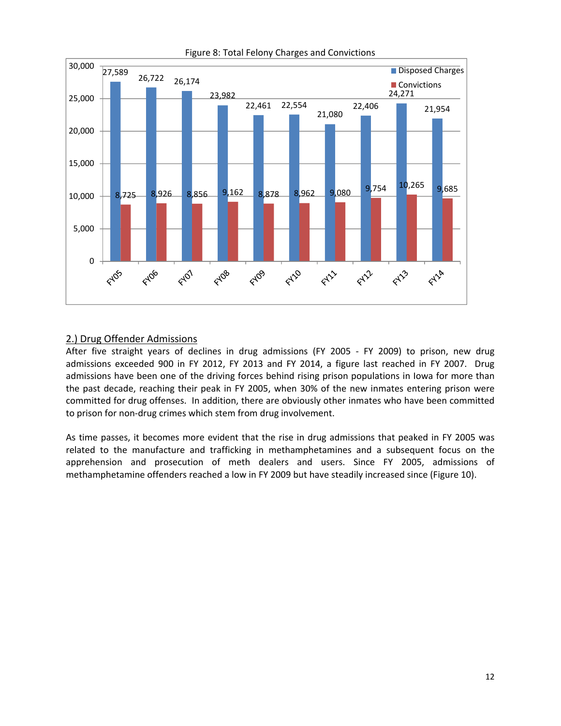

#### Figure 8: Total Felony Charges and Convictions

#### 2.) Drug Offender Admissions

After five straight years of declines in drug admissions (FY 2005 - FY 2009) to prison, new drug admissions exceeded 900 in FY 2012, FY 2013 and FY 2014, a figure last reached in FY 2007. Drug admissions have been one of the driving forces behind rising prison populations in Iowa for more than the past decade, reaching their peak in FY 2005, when 30% of the new inmates entering prison were committed for drug offenses. In addition, there are obviously other inmates who have been committed to prison for non‐drug crimes which stem from drug involvement.

As time passes, it becomes more evident that the rise in drug admissions that peaked in FY 2005 was related to the manufacture and trafficking in methamphetamines and a subsequent focus on the apprehension and prosecution of meth dealers and users. Since FY 2005, admissions of methamphetamine offenders reached a low in FY 2009 but have steadily increased since (Figure 10).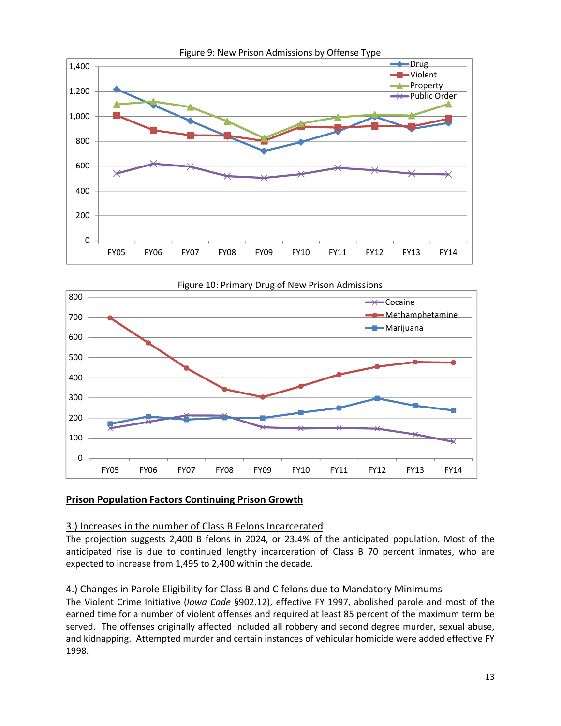



## **Prison Population Factors Continuing Prison Growth**

#### 3.) Increases in the number of Class B Felons Incarcerated

The projection suggests 2,400 B felons in 2024, or 23.4% of the anticipated population. Most of the anticipated rise is due to continued lengthy incarceration of Class B 70 percent inmates, who are expected to increase from 1,495 to 2,400 within the decade.

## 4.) Changes in Parole Eligibility for Class B and C felons due to Mandatory Minimums

The Violent Crime Initiative (*Iowa Code* §902.12), effective FY 1997, abolished parole and most of the earned time for a number of violent offenses and required at least 85 percent of the maximum term be served. The offenses originally affected included all robbery and second degree murder, sexual abuse, and kidnapping. Attempted murder and certain instances of vehicular homicide were added effective FY 1998.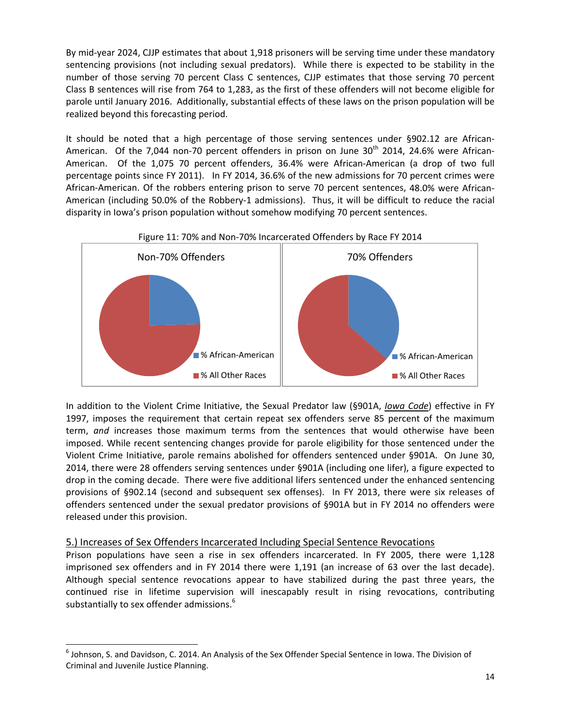By mid-year 2024, CJJP estimates that about 1,918 prisoners will be serving time under these mandatory sentencing provisions (not including sexual predators). While there is expected to be stability in the number of those serving 70 percent Class C sentences, CJJP estimates that those serving 70 percent Class B sentences will rise from 764 to 1,283, as the first of these offenders will not become eligible for parole until January 2016. Additionally, substantial effects of these laws on the prison population will be realized beyond this forecasting period.

It should be noted that a high percentage of those serving sentences under §902.12 are African-American. Of the 7,044 non-70 percent offenders in prison on June  $30<sup>th</sup>$  2014, 24.6% were African-American. Of the 1,075 70 percent offenders, 36.4% were African-American (a drop of two full percentage points since FY 2011). In FY 2014, 36.6% of the new admissions for 70 percent crimes were African-American. Of the robbers entering prison to serve 70 percent sentences, 48.0% were African-American (including 50.0% of the Robbery‐1 admissions). Thus, it will be difficult to reduce the racial disparity in Iowa's prison population without somehow modifying 70 percent sentences.



#### Figure 11: 70% and Non‐70% Incarcerated Offenders by Race FY 2014

In addition to the Violent Crime Initiative, the Sexual Predator law (§901A, *Iowa Code*) effective in FY 1997, imposes the requirement that certain repeat sex offenders serve 85 percent of the maximum term, *and* increases those maximum terms from the sentences that would otherwise have been imposed. While recent sentencing changes provide for parole eligibility for those sentenced under the Violent Crime Initiative, parole remains abolished for offenders sentenced under §901A. On June 30, 2014, there were 28 offenders serving sentences under §901A (including one lifer), a figure expected to drop in the coming decade. There were five additional lifers sentenced under the enhanced sentencing provisions of §902.14 (second and subsequent sex offenses). In FY 2013, there were six releases of offenders sentenced under the sexual predator provisions of §901A but in FY 2014 no offenders were released under this provision.

#### 5.) Increases of Sex Offenders Incarcerated Including Special Sentence Revocations

 $\overline{a}$ 

Prison populations have seen a rise in sex offenders incarcerated. In FY 2005, there were 1,128 imprisoned sex offenders and in FY 2014 there were 1,191 (an increase of 63 over the last decade). Although special sentence revocations appear to have stabilized during the past three years, the continued rise in lifetime supervision will inescapably result in rising revocations, contributing substantially to sex offender admissions.<sup>6</sup>

<sup>6</sup> Johnson, S. and Davidson, C. 2014. An Analysis of the Sex Offender Special Sentence in Iowa. The Division of Criminal and Juvenile Justice Planning.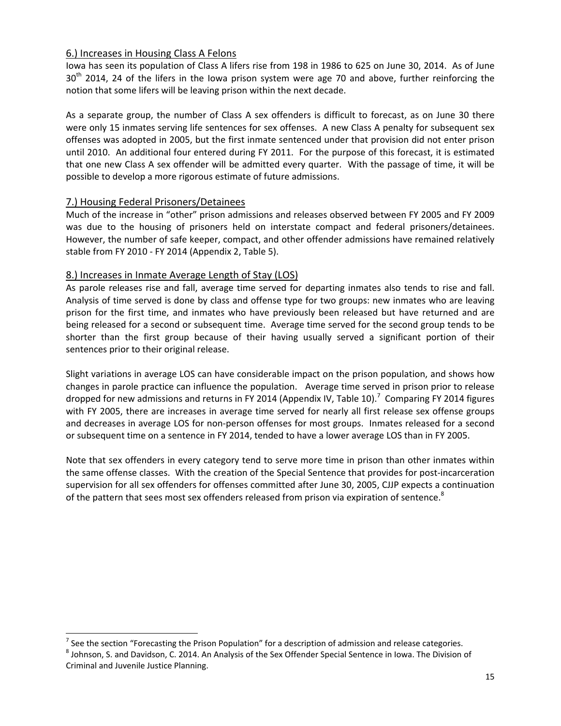#### 6.) Increases in Housing Class A Felons

Iowa has seen its population of Class A lifers rise from 198 in 1986 to 625 on June 30, 2014. As of June 30<sup>th</sup> 2014, 24 of the lifers in the Iowa prison system were age 70 and above, further reinforcing the notion that some lifers will be leaving prison within the next decade.

As a separate group, the number of Class A sex offenders is difficult to forecast, as on June 30 there were only 15 inmates serving life sentences for sex offenses. A new Class A penalty for subsequent sex offenses was adopted in 2005, but the first inmate sentenced under that provision did not enter prison until 2010. An additional four entered during FY 2011. For the purpose of this forecast, it is estimated that one new Class A sex offender will be admitted every quarter. With the passage of time, it will be possible to develop a more rigorous estimate of future admissions.

#### 7.) Housing Federal Prisoners/Detainees

Much of the increase in "other" prison admissions and releases observed between FY 2005 and FY 2009 was due to the housing of prisoners held on interstate compact and federal prisoners/detainees. However, the number of safe keeper, compact, and other offender admissions have remained relatively stable from FY 2010 ‐ FY 2014 (Appendix 2, Table 5).

#### 8.) Increases in Inmate Average Length of Stay (LOS)

As parole releases rise and fall, average time served for departing inmates also tends to rise and fall. Analysis of time served is done by class and offense type for two groups: new inmates who are leaving prison for the first time, and inmates who have previously been released but have returned and are being released for a second or subsequent time. Average time served for the second group tends to be shorter than the first group because of their having usually served a significant portion of their sentences prior to their original release.

Slight variations in average LOS can have considerable impact on the prison population, and shows how changes in parole practice can influence the population. Average time served in prison prior to release dropped for new admissions and returns in FY 2014 (Appendix IV, Table 10).<sup>7</sup> Comparing FY 2014 figures with FY 2005, there are increases in average time served for nearly all first release sex offense groups and decreases in average LOS for non-person offenses for most groups. Inmates released for a second or subsequent time on a sentence in FY 2014, tended to have a lower average LOS than in FY 2005.

Note that sex offenders in every category tend to serve more time in prison than other inmates within the same offense classes. With the creation of the Special Sentence that provides for post-incarceration supervision for all sex offenders for offenses committed after June 30, 2005, CJJP expects a continuation of the pattern that sees most sex offenders released from prison via expiration of sentence.<sup>8</sup>

 $\frac{7}{1}$  See the section "Forecasting the Prison Population" for a description of admission and release categories.

 $8$  Johnson, S. and Davidson, C. 2014. An Analysis of the Sex Offender Special Sentence in Iowa. The Division of Criminal and Juvenile Justice Planning.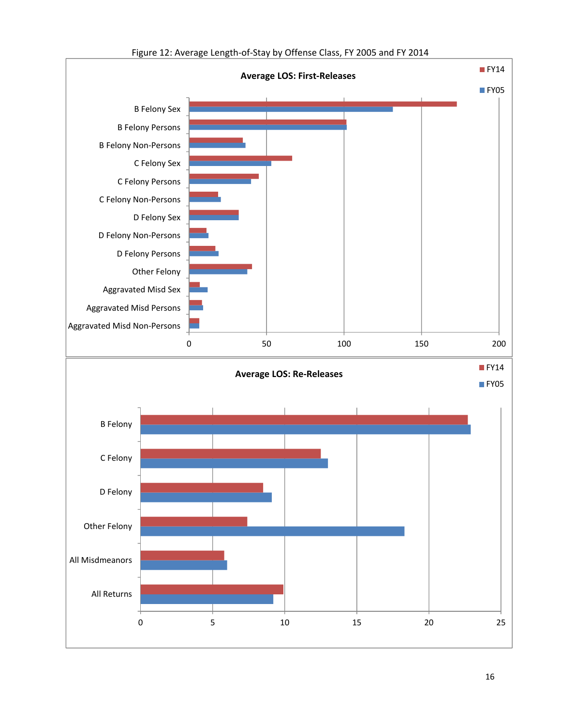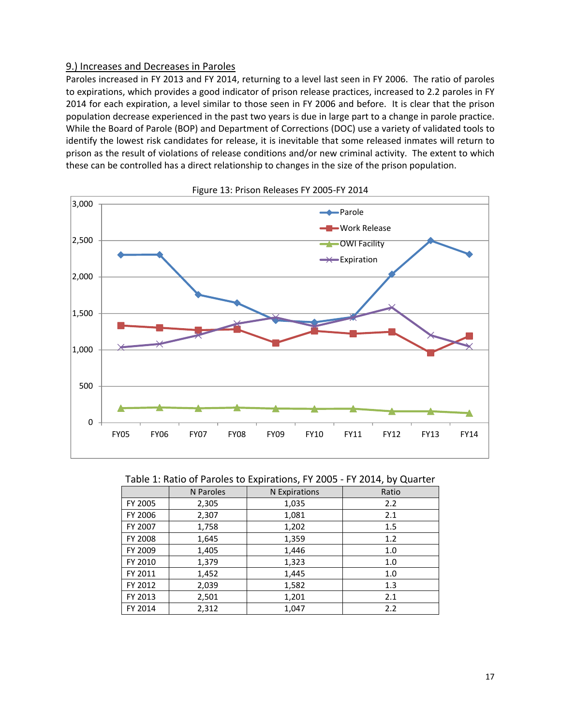#### 9.) Increases and Decreases in Paroles

Paroles increased in FY 2013 and FY 2014, returning to a level last seen in FY 2006. The ratio of paroles to expirations, which provides a good indicator of prison release practices, increased to 2.2 paroles in FY 2014 for each expiration, a level similar to those seen in FY 2006 and before. It is clear that the prison population decrease experienced in the past two years is due in large part to a change in parole practice. While the Board of Parole (BOP) and Department of Corrections (DOC) use a variety of validated tools to identify the lowest risk candidates for release, it is inevitable that some released inmates will return to prison as the result of violations of release conditions and/or new criminal activity. The extent to which these can be controlled has a direct relationship to changes in the size of the prison population.



Figure 13: Prison Releases FY 2005‐FY 2014

#### Table 1: Ratio of Paroles to Expirations, FY 2005 ‐ FY 2014, by Quarter

|         | N Paroles | N Expirations | Ratio |
|---------|-----------|---------------|-------|
| FY 2005 | 2,305     | 1,035         | 2.2   |
| FY 2006 | 2,307     | 1,081         | 2.1   |
| FY 2007 | 1,758     | 1,202         | 1.5   |
| FY 2008 | 1,645     | 1,359         | 1.2   |
| FY 2009 | 1,405     | 1,446         | 1.0   |
| FY 2010 | 1,379     | 1,323         | 1.0   |
| FY 2011 | 1,452     | 1,445         | 1.0   |
| FY 2012 | 2,039     | 1,582         | 1.3   |
| FY 2013 | 2,501     | 1,201         | 2.1   |
| FY 2014 | 2,312     | 1,047         | 2.2   |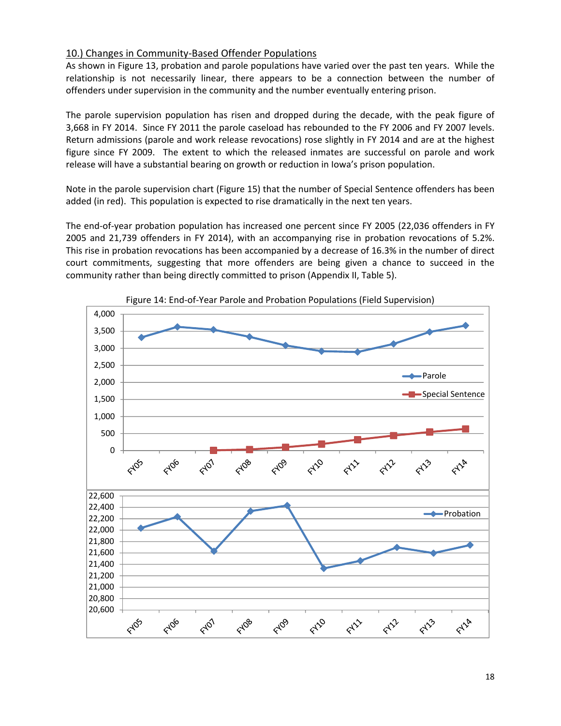#### 10.) Changes in Community‐Based Offender Populations

As shown in Figure 13, probation and parole populations have varied over the past ten years. While the relationship is not necessarily linear, there appears to be a connection between the number of offenders under supervision in the community and the number eventually entering prison.

The parole supervision population has risen and dropped during the decade, with the peak figure of 3,668 in FY 2014. Since FY 2011 the parole caseload has rebounded to the FY 2006 and FY 2007 levels. Return admissions (parole and work release revocations) rose slightly in FY 2014 and are at the highest figure since FY 2009. The extent to which the released inmates are successful on parole and work release will have a substantial bearing on growth or reduction in Iowa's prison population.

Note in the parole supervision chart (Figure 15) that the number of Special Sentence offenders has been added (in red). This population is expected to rise dramatically in the next ten years.

The end‐of‐year probation population has increased one percent since FY 2005 (22,036 offenders in FY 2005 and 21,739 offenders in FY 2014), with an accompanying rise in probation revocations of 5.2%. This rise in probation revocations has been accompanied by a decrease of 16.3% in the number of direct court commitments, suggesting that more offenders are being given a chance to succeed in the community rather than being directly committed to prison (Appendix II, Table 5).



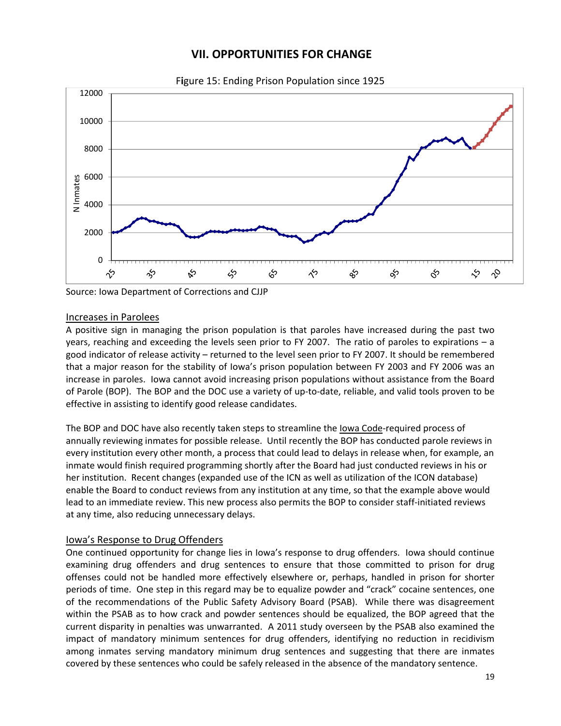## **VII. OPPORTUNITIES FOR CHANGE**



F**i**gure 15: Ending Prison Population since 1925

Source: Iowa Department of Corrections and CJJP

#### Increases in Parolees

A positive sign in managing the prison population is that paroles have increased during the past two years, reaching and exceeding the levels seen prior to FY 2007. The ratio of paroles to expirations – a good indicator of release activity – returned to the level seen prior to FY 2007. It should be remembered that a major reason for the stability of Iowa's prison population between FY 2003 and FY 2006 was an increase in paroles. Iowa cannot avoid increasing prison populations without assistance from the Board of Parole (BOP). The BOP and the DOC use a variety of up‐to‐date, reliable, and valid tools proven to be effective in assisting to identify good release candidates.

The BOP and DOC have also recently taken steps to streamline the lowa Code-required process of annually reviewing inmates for possible release. Until recently the BOP has conducted parole reviews in every institution every other month, a process that could lead to delays in release when, for example, an inmate would finish required programming shortly after the Board had just conducted reviews in his or her institution. Recent changes (expanded use of the ICN as well as utilization of the ICON database) enable the Board to conduct reviews from any institution at any time, so that the example above would lead to an immediate review. This new process also permits the BOP to consider staff‐initiated reviews at any time, also reducing unnecessary delays.

#### Iowa's Response to Drug Offenders

One continued opportunity for change lies in Iowa's response to drug offenders. Iowa should continue examining drug offenders and drug sentences to ensure that those committed to prison for drug offenses could not be handled more effectively elsewhere or, perhaps, handled in prison for shorter periods of time. One step in this regard may be to equalize powder and "crack" cocaine sentences, one of the recommendations of the Public Safety Advisory Board (PSAB). While there was disagreement within the PSAB as to how crack and powder sentences should be equalized, the BOP agreed that the current disparity in penalties was unwarranted. A 2011 study overseen by the PSAB also examined the impact of mandatory minimum sentences for drug offenders, identifying no reduction in recidivism among inmates serving mandatory minimum drug sentences and suggesting that there are inmates covered by these sentences who could be safely released in the absence of the mandatory sentence.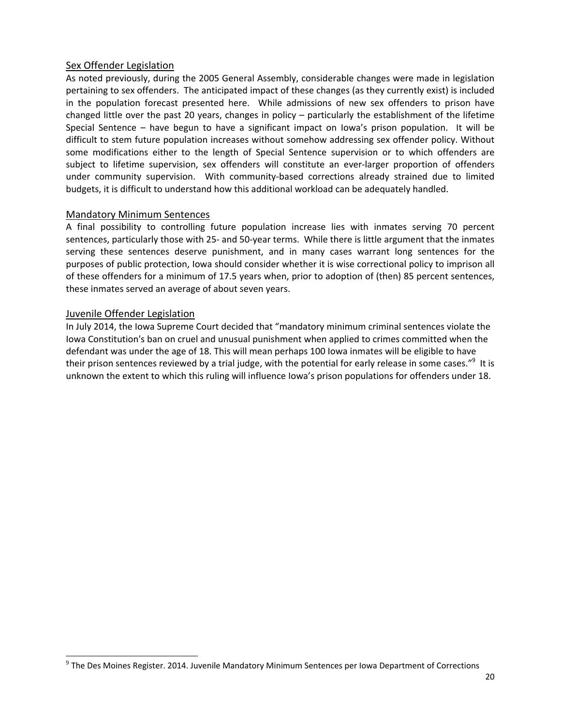#### Sex Offender Legislation

As noted previously, during the 2005 General Assembly, considerable changes were made in legislation pertaining to sex offenders. The anticipated impact of these changes (as they currently exist) is included in the population forecast presented here. While admissions of new sex offenders to prison have changed little over the past 20 years, changes in policy – particularly the establishment of the lifetime Special Sentence – have begun to have a significant impact on Iowa's prison population. It will be difficult to stem future population increases without somehow addressing sex offender policy. Without some modifications either to the length of Special Sentence supervision or to which offenders are subject to lifetime supervision, sex offenders will constitute an ever-larger proportion of offenders under community supervision. With community-based corrections already strained due to limited budgets, it is difficult to understand how this additional workload can be adequately handled.

#### Mandatory Minimum Sentences

A final possibility to controlling future population increase lies with inmates serving 70 percent sentences, particularly those with 25- and 50-year terms. While there is little argument that the inmates serving these sentences deserve punishment, and in many cases warrant long sentences for the purposes of public protection, Iowa should consider whether it is wise correctional policy to imprison all of these offenders for a minimum of 17.5 years when, prior to adoption of (then) 85 percent sentences, these inmates served an average of about seven years.

#### Juvenile Offender Legislation

 $\overline{a}$ 

In July 2014, the Iowa Supreme Court decided that "mandatory minimum criminal sentences violate the Iowa Constitution's ban on cruel and unusual punishment when applied to crimes committed when the defendant was under the age of 18. This will mean perhaps 100 Iowa inmates will be eligible to have their prison sentences reviewed by a trial judge, with the potential for early release in some cases."<sup>9</sup> It is unknown the extent to which this ruling will influence Iowa's prison populations for offenders under 18.

 $9$  The Des Moines Register. 2014. Juvenile Mandatory Minimum Sentences per Iowa Department of Corrections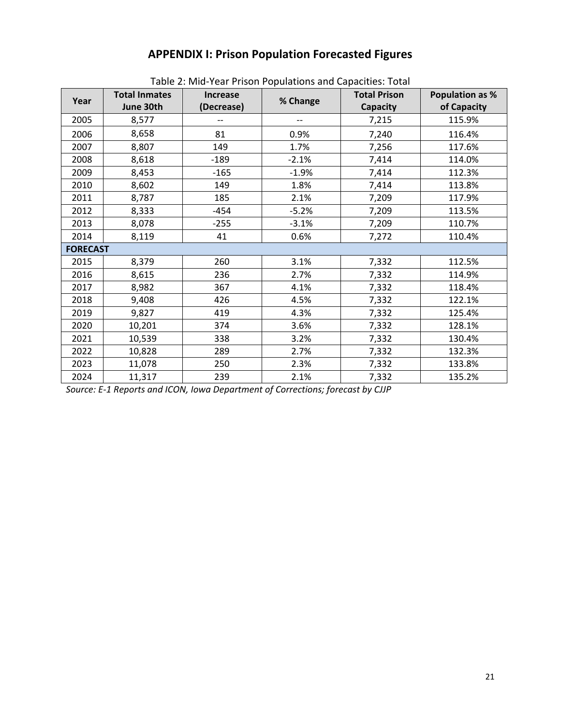## **APPENDIX I: Prison Population Forecasted Figures**

|                 | <b>Total Inmates</b> | Table 2. Milu-Teal Prison Populations and Capacities. Total<br><b>Increase</b> |          | <b>Total Prison</b> | <b>Population as %</b> |
|-----------------|----------------------|--------------------------------------------------------------------------------|----------|---------------------|------------------------|
| Year            | June 30th            | (Decrease)                                                                     | % Change | <b>Capacity</b>     | of Capacity            |
| 2005            | 8,577                |                                                                                |          | 7,215               | 115.9%                 |
| 2006            | 8,658                | 81                                                                             | 0.9%     | 7,240               | 116.4%                 |
| 2007            | 8,807                | 149                                                                            | 1.7%     | 7,256               | 117.6%                 |
| 2008            | 8,618                | $-189$                                                                         | $-2.1%$  | 7,414               | 114.0%                 |
| 2009            | 8,453                | $-165$                                                                         | $-1.9%$  | 7,414               | 112.3%                 |
| 2010            | 8,602                | 149                                                                            | 1.8%     | 7,414               | 113.8%                 |
| 2011            | 8,787                | 185                                                                            | 2.1%     | 7,209               | 117.9%                 |
| 2012            | 8,333                | $-454$                                                                         | $-5.2%$  | 7,209               | 113.5%                 |
| 2013            | 8,078                | $-255$                                                                         | $-3.1%$  | 7,209               | 110.7%                 |
| 2014            | 8,119                | 41                                                                             | 0.6%     | 7,272               | 110.4%                 |
| <b>FORECAST</b> |                      |                                                                                |          |                     |                        |
| 2015            | 8,379                | 260                                                                            | 3.1%     | 7,332               | 112.5%                 |
| 2016            | 8,615                | 236                                                                            | 2.7%     | 7,332               | 114.9%                 |
| 2017            | 8,982                | 367                                                                            | 4.1%     | 7,332               | 118.4%                 |
| 2018            | 9,408                | 426                                                                            | 4.5%     | 7,332               | 122.1%                 |
| 2019            | 9,827                | 419                                                                            | 4.3%     | 7,332               | 125.4%                 |
| 2020            | 10,201               | 374                                                                            | 3.6%     | 7,332               | 128.1%                 |
| 2021            | 10,539               | 338                                                                            | 3.2%     | 7,332               | 130.4%                 |
| 2022            | 10,828               | 289                                                                            | 2.7%     | 7,332               | 132.3%                 |
| 2023            | 11,078               | 250                                                                            | 2.3%     | 7,332               | 133.8%                 |
| 2024            | 11,317               | 239                                                                            | 2.1%     | 7,332               | 135.2%                 |

Table 2: Mid‐Year Prison Populations and Capacities: Total

*Source: E‐1 Reports and ICON, Iowa Department of Corrections; forecast by CJJP*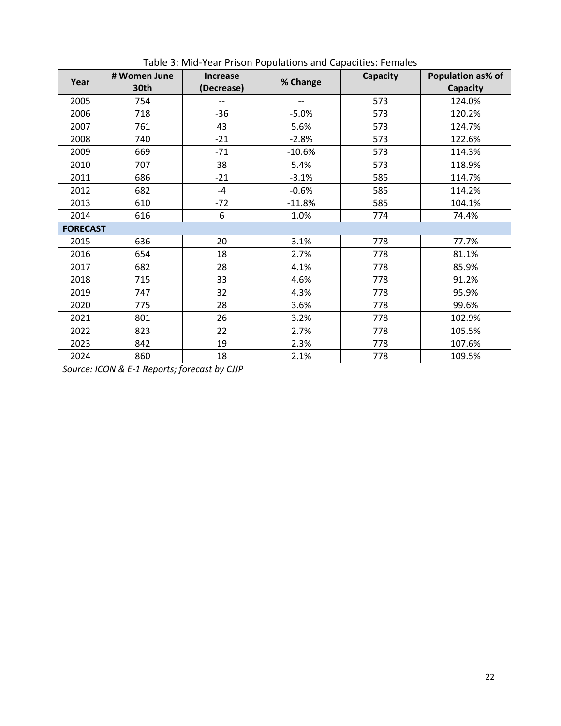| Year            | # Women June | <b>Increase</b> |          | Capacity | Population as% of |
|-----------------|--------------|-----------------|----------|----------|-------------------|
|                 | 30th         | (Decrease)      | % Change |          | <b>Capacity</b>   |
| 2005            | 754          | --              |          | 573      | 124.0%            |
| 2006            | 718          | $-36$           | $-5.0%$  | 573      | 120.2%            |
| 2007            | 761          | 43              | 5.6%     | 573      | 124.7%            |
| 2008            | 740          | $-21$           | $-2.8%$  | 573      | 122.6%            |
| 2009            | 669          | $-71$           | $-10.6%$ | 573      | 114.3%            |
| 2010            | 707          | 38              | 5.4%     | 573      | 118.9%            |
| 2011            | 686          | $-21$           | $-3.1%$  | 585      | 114.7%            |
| 2012            | 682          | $-4$            | $-0.6%$  | 585      | 114.2%            |
| 2013            | 610          | $-72$           | $-11.8%$ | 585      | 104.1%            |
| 2014            | 616          | 6               | 1.0%     | 774      | 74.4%             |
| <b>FORECAST</b> |              |                 |          |          |                   |
| 2015            | 636          | 20              | 3.1%     | 778      | 77.7%             |
| 2016            | 654          | 18              | 2.7%     | 778      | 81.1%             |
| 2017            | 682          | 28              | 4.1%     | 778      | 85.9%             |
| 2018            | 715          | 33              | 4.6%     | 778      | 91.2%             |
| 2019            | 747          | 32              | 4.3%     | 778      | 95.9%             |
| 2020            | 775          | 28              | 3.6%     | 778      | 99.6%             |
| 2021            | 801          | 26              | 3.2%     | 778      | 102.9%            |
| 2022            | 823          | 22              | 2.7%     | 778      | 105.5%            |
| 2023            | 842          | 19              | 2.3%     | 778      | 107.6%            |
| 2024            | 860          | 18              | 2.1%     | 778      | 109.5%            |

Table 3: Mid‐Year Prison Populations and Capacities: Females

*Source: ICON & E‐1 Reports; forecast by CJJP*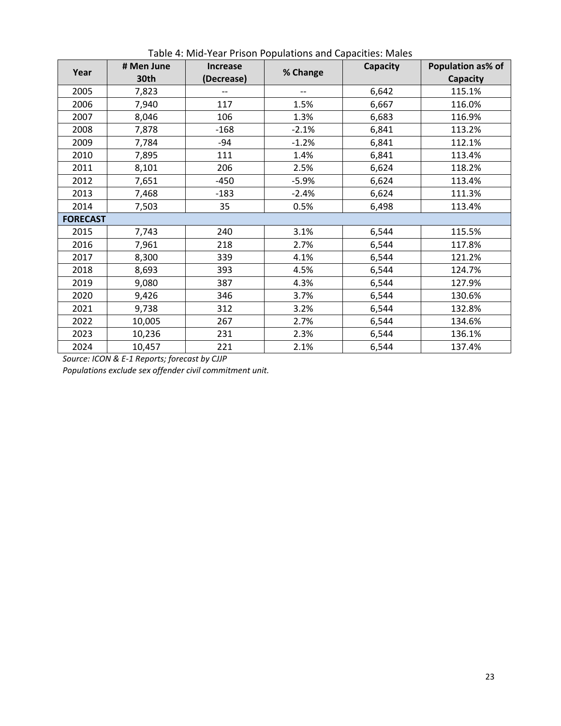| Year            | # Men June<br>30th | <b>Increase</b><br>(Decrease) | % Change | Capacity | Population as% of<br>Capacity |
|-----------------|--------------------|-------------------------------|----------|----------|-------------------------------|
| 2005            | 7,823              |                               | --       | 6,642    | 115.1%                        |
| 2006            | 7,940              | 117                           | 1.5%     | 6,667    | 116.0%                        |
| 2007            | 8,046              | 106                           | 1.3%     | 6,683    | 116.9%                        |
| 2008            | 7,878              | $-168$                        | $-2.1%$  | 6,841    | 113.2%                        |
| 2009            | 7,784              | -94                           | $-1.2%$  | 6,841    | 112.1%                        |
| 2010            | 7,895              | 111                           | 1.4%     | 6,841    | 113.4%                        |
| 2011            | 8,101              | 206                           | 2.5%     | 6,624    | 118.2%                        |
| 2012            | 7,651              | $-450$                        | $-5.9%$  | 6,624    | 113.4%                        |
| 2013            | 7,468              | $-183$                        | $-2.4%$  | 6,624    | 111.3%                        |
| 2014            | 7,503              | 35                            | 0.5%     | 6,498    | 113.4%                        |
| <b>FORECAST</b> |                    |                               |          |          |                               |
| 2015            | 7,743              | 240                           | 3.1%     | 6,544    | 115.5%                        |
| 2016            | 7,961              | 218                           | 2.7%     | 6,544    | 117.8%                        |
| 2017            | 8,300              | 339                           | 4.1%     | 6,544    | 121.2%                        |
| 2018            | 8,693              | 393                           | 4.5%     | 6,544    | 124.7%                        |
| 2019            | 9,080              | 387                           | 4.3%     | 6,544    | 127.9%                        |
| 2020            | 9,426              | 346                           | 3.7%     | 6,544    | 130.6%                        |
| 2021            | 9,738              | 312                           | 3.2%     | 6,544    | 132.8%                        |
| 2022            | 10,005             | 267                           | 2.7%     | 6,544    | 134.6%                        |
| 2023            | 10,236             | 231                           | 2.3%     | 6,544    | 136.1%                        |
| 2024            | 10,457             | 221                           | 2.1%     | 6,544    | 137.4%                        |

Table 4: Mid‐Year Prison Populations and Capacities: Males

*Source: ICON & E‐1 Reports; forecast by CJJP*

*Populations exclude sex offender civil commitment unit.*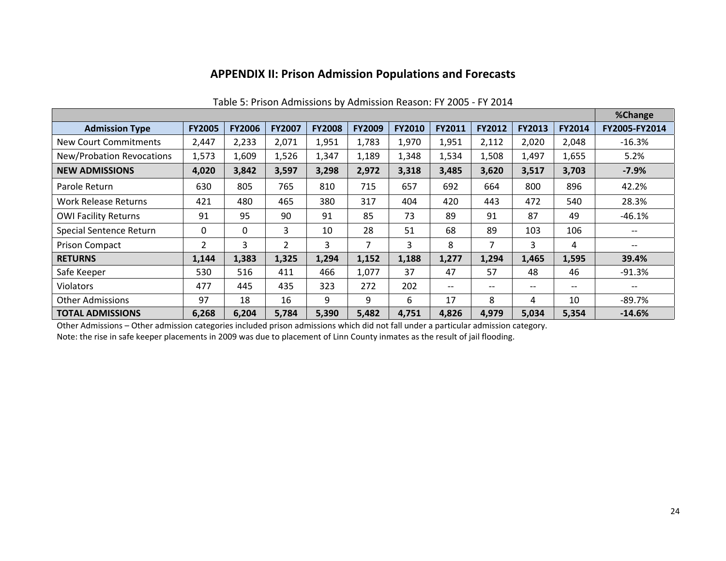#### **APPENDIX II: Prison Admission Populations and Forecasts**

|                             |               |               |                |               |               |               |                   |               |                   |               | %Change                             |
|-----------------------------|---------------|---------------|----------------|---------------|---------------|---------------|-------------------|---------------|-------------------|---------------|-------------------------------------|
| <b>Admission Type</b>       | <b>FY2005</b> | <b>FY2006</b> | <b>FY2007</b>  | <b>FY2008</b> | <b>FY2009</b> | <b>FY2010</b> | FY2011            | <b>FY2012</b> | <b>FY2013</b>     | <b>FY2014</b> | FY2005-FY2014                       |
| New Court Commitments       | 2,447         | 2,233         | 2,071          | 1,951         | 1,783         | 1,970         | 1,951             | 2,112         | 2,020             | 2,048         | $-16.3%$                            |
| New/Probation Revocations   | 1,573         | 1,609         | 1,526          | 1,347         | 1,189         | 1,348         | 1,534             | 1,508         | 1,497             | 1,655         | 5.2%                                |
| <b>NEW ADMISSIONS</b>       | 4,020         | 3,842         | 3,597          | 3,298         | 2,972         | 3,318         | 3,485             | 3,620         | 3,517             | 3,703         | $-7.9\%$                            |
| Parole Return               | 630           | 805           | 765            | 810           | 715           | 657           | 692               | 664           | 800               | 896           | 42.2%                               |
| Work Release Returns        | 421           | 480           | 465            | 380           | 317           | 404           | 420               | 443           | 472               | 540           | 28.3%                               |
| <b>OWI Facility Returns</b> | 91            | 95            | 90             | 91            | 85            | 73            | 89                | 91            | 87                | 49            | $-46.1%$                            |
| Special Sentence Return     | 0             | $\Omega$      | 3              | 10            | 28            | 51            | 68                | 89            | 103               | 106           |                                     |
| <b>Prison Compact</b>       | 2             | 3             | $\overline{2}$ | 3             | 7             | 3             | 8                 | 7             | 3                 | 4             | $\hspace{0.04in}$ $\hspace{0.04in}$ |
| <b>RETURNS</b>              | 1,144         | 1,383         | 1,325          | 1,294         | 1,152         | 1,188         | 1,277             | 1,294         | 1,465             | 1,595         | 39.4%                               |
| Safe Keeper                 | 530           | 516           | 411            | 466           | 1,077         | 37            | 47                | 57            | 48                | 46            | $-91.3%$                            |
| <b>Violators</b>            | 477           | 445           | 435            | 323           | 272           | 202           | $\qquad \qquad -$ | $- -$         | $\qquad \qquad -$ | $- -$         | --                                  |
| <b>Other Admissions</b>     | 97            | 18            | 16             | 9             | 9             | 6             | 17                | 8             | 4                 | 10            | -89.7%                              |
| <b>TOTAL ADMISSIONS</b>     | 6,268         | 6,204         | 5,784          | 5,390         | 5,482         | 4,751         | 4,826             | 4,979         | 5,034             | 5,354         | $-14.6%$                            |

#### Table 5: Prison Admissions by Admission Reason: FY 2005 ‐ FY 2014

Other Admissions – Other admission categories included prison admissions which did not fall under <sup>a</sup> particular admission category. Note: the rise in safe keeper placements in 2009 was due to placement of Linn County inmates as the result of jail flooding.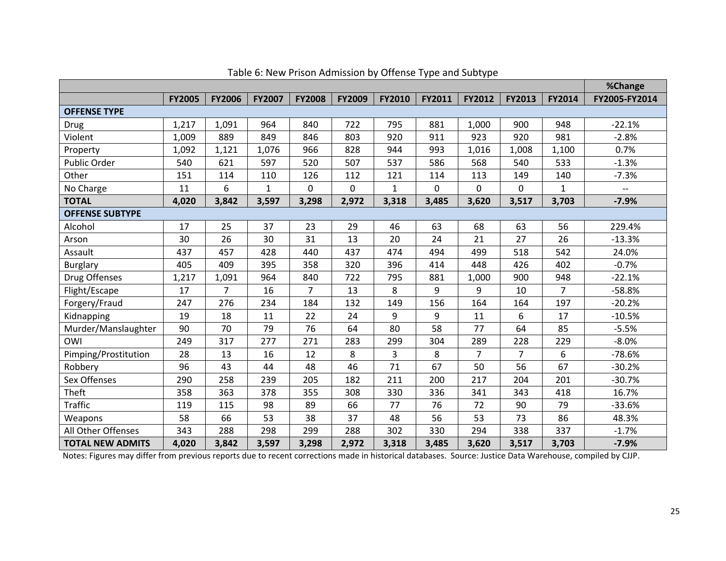|                         |               |                |               |                |               |               |               |                |                |                | %Change                  |
|-------------------------|---------------|----------------|---------------|----------------|---------------|---------------|---------------|----------------|----------------|----------------|--------------------------|
|                         | <b>FY2005</b> | <b>FY2006</b>  | <b>FY2007</b> | <b>FY2008</b>  | <b>FY2009</b> | <b>FY2010</b> | <b>FY2011</b> | FY2012         | <b>FY2013</b>  | FY2014         | FY2005-FY2014            |
| <b>OFFENSE TYPE</b>     |               |                |               |                |               |               |               |                |                |                |                          |
| Drug                    | 1,217         | 1,091          | 964           | 840            | 722           | 795           | 881           | 1,000          | 900            | 948            | $-22.1%$                 |
| Violent                 | 1,009         | 889            | 849           | 846            | 803           | 920           | 911           | 923            | 920            | 981            | $-2.8%$                  |
| Property                | 1,092         | 1,121          | 1,076         | 966            | 828           | 944           | 993           | 1,016          | 1,008          | 1,100          | 0.7%                     |
| Public Order            | 540           | 621            | 597           | 520            | 507           | 537           | 586           | 568            | 540            | 533            | $-1.3%$                  |
| Other                   | 151           | 114            | 110           | 126            | 112           | 121           | 114           | 113            | 149            | 140            | $-7.3%$                  |
| No Charge               | 11            | 6              | $\mathbf{1}$  | 0              | 0             | $\mathbf{1}$  | 0             | $\mathbf 0$    | 0              | $\mathbf{1}$   | $\overline{\phantom{0}}$ |
| <b>TOTAL</b>            | 4,020         | 3,842          | 3,597         | 3,298          | 2,972         | 3,318         | 3,485         | 3,620          | 3,517          | 3,703          | $-7.9%$                  |
| <b>OFFENSE SUBTYPE</b>  |               |                |               |                |               |               |               |                |                |                |                          |
| Alcohol                 | 17            | 25             | 37            | 23             | 29            | 46            | 63            | 68             | 63             | 56             | 229.4%                   |
| Arson                   | 30            | 26             | 30            | 31             | 13            | 20            | 24            | 21             | 27             | 26             | $-13.3%$                 |
| Assault                 | 437           | 457            | 428           | 440            | 437           | 474           | 494           | 499            | 518            | 542            | 24.0%                    |
| <b>Burglary</b>         | 405           | 409            | 395           | 358            | 320           | 396           | 414           | 448            | 426            | 402            | $-0.7%$                  |
| Drug Offenses           | 1,217         | 1,091          | 964           | 840            | 722           | 795           | 881           | 1,000          | 900            | 948            | $-22.1%$                 |
| Flight/Escape           | 17            | $\overline{7}$ | 16            | $\overline{7}$ | 13            | 8             | 9             | 9              | 10             | $\overline{7}$ | $-58.8%$                 |
| Forgery/Fraud           | 247           | 276            | 234           | 184            | 132           | 149           | 156           | 164            | 164            | 197            | $-20.2%$                 |
| Kidnapping              | 19            | 18             | 11            | 22             | 24            | 9             | 9             | 11             | 6              | 17             | $-10.5%$                 |
| Murder/Manslaughter     | 90            | 70             | 79            | 76             | 64            | 80            | 58            | 77             | 64             | 85             | $-5.5%$                  |
| OWI                     | 249           | 317            | 277           | 271            | 283           | 299           | 304           | 289            | 228            | 229            | $-8.0%$                  |
| Pimping/Prostitution    | 28            | 13             | 16            | 12             | 8             | 3             | 8             | $\overline{7}$ | $\overline{7}$ | 6              | $-78.6%$                 |
| Robbery                 | 96            | 43             | 44            | 48             | 46            | 71            | 67            | 50             | 56             | 67             | $-30.2%$                 |
| Sex Offenses            | 290           | 258            | 239           | 205            | 182           | 211           | 200           | 217            | 204            | 201            | $-30.7%$                 |
| Theft                   | 358           | 363            | 378           | 355            | 308           | 330           | 336           | 341            | 343            | 418            | 16.7%                    |
| <b>Traffic</b>          | 119           | 115            | 98            | 89             | 66            | 77            | 76            | 72             | 90             | 79             | $-33.6%$                 |
| Weapons                 | 58            | 66             | 53            | 38             | 37            | 48            | 56            | 53             | 73             | 86             | 48.3%                    |
| All Other Offenses      | 343           | 288            | 298           | 299            | 288           | 302           | 330           | 294            | 338            | 337            | $-1.7%$                  |
| <b>TOTAL NEW ADMITS</b> | 4,020         | 3,842          | 3,597         | 3,298          | 2,972         | 3,318         | 3,485         | 3,620          | 3,517          | 3,703          | $-7.9%$                  |

#### Table 6: New Prison Admission by Offense Type and Subtype

Notes: Figures may differ from previous reports due to recent corrections made in historical databases. Source: Justice Data Warehouse, compiled by CJJP.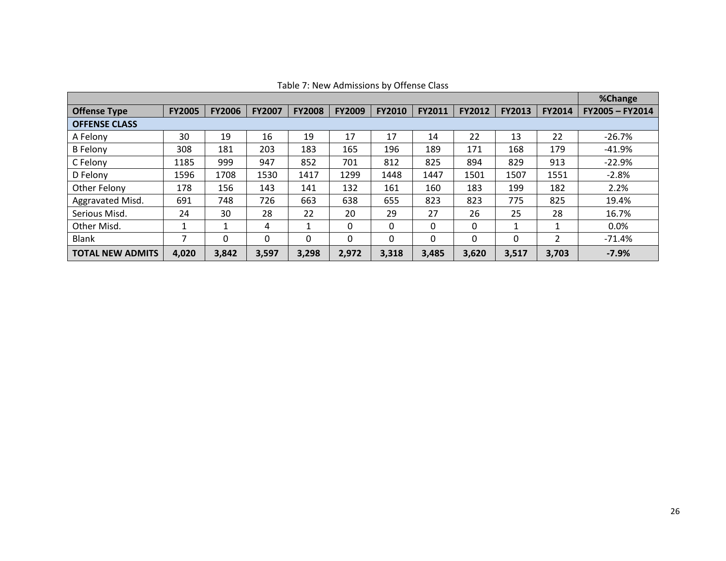| <b>Offense Type</b>     | <b>FY2005</b> | <b>FY2006</b> | <b>FY2007</b> | <b>FY2008</b> | <b>FY2009</b> | <b>FY2010</b> | <b>FY2011</b> | <b>FY2012</b> | <b>FY2013</b> | <b>FY2014</b> | FY2005-FY2014 |
|-------------------------|---------------|---------------|---------------|---------------|---------------|---------------|---------------|---------------|---------------|---------------|---------------|
| <b>OFFENSE CLASS</b>    |               |               |               |               |               |               |               |               |               |               |               |
| A Felony                | 30            | 19            | 16            | 19            | 17            | 17            | 14            | 22            | 13            | 22            | $-26.7%$      |
| <b>B</b> Felony         | 308           | 181           | 203           | 183           | 165           | 196           | 189           | 171           | 168           | 179           | $-41.9%$      |
| C Felony                | 1185          | 999           | 947           | 852           | 701           | 812           | 825           | 894           | 829           | 913           | $-22.9%$      |
| D Felony                | 1596          | 1708          | 1530          | 1417          | 1299          | 1448          | 1447          | 1501          | 1507          | 1551          | $-2.8%$       |
| Other Felony            | 178           | 156           | 143           | 141           | 132           | 161           | 160           | 183           | 199           | 182           | 2.2%          |
| Aggravated Misd.        | 691           | 748           | 726           | 663           | 638           | 655           | 823           | 823           | 775           | 825           | 19.4%         |
| Serious Misd.           | 24            | 30            | 28            | 22            | 20            | 29            | 27            | 26            | 25            | 28            | 16.7%         |
| Other Misd.             | 1             |               | 4             | 1             | $\Omega$      | 0             | 0             | 0             | 1             |               | 0.0%          |
| <b>Blank</b>            |               | $\Omega$      | $\Omega$      | 0             | 0             | 0             | 0             | 0             | 0             |               | $-71.4%$      |
| <b>TOTAL NEW ADMITS</b> | 4,020         | 3,842         | 3,597         | 3,298         | 2,972         | 3,318         | 3,485         | 3,620         | 3,517         | 3.703         | $-7.9%$       |

Table 7: New Admissions by Offense Class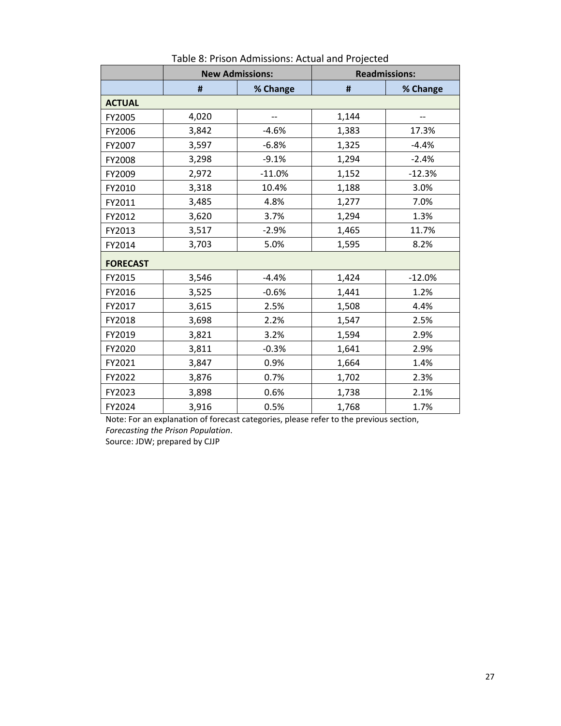|                 |       | <b>New Admissions:</b> |       | <b>Readmissions:</b> |
|-----------------|-------|------------------------|-------|----------------------|
|                 | #     | % Change               | #     | % Change             |
| <b>ACTUAL</b>   |       |                        |       |                      |
| FY2005          | 4,020 |                        | 1,144 |                      |
| FY2006          | 3,842 | $-4.6%$                | 1,383 | 17.3%                |
| FY2007          | 3,597 | $-6.8%$                | 1,325 | $-4.4%$              |
| FY2008          | 3,298 | $-9.1%$                | 1,294 | $-2.4%$              |
| FY2009          | 2,972 | $-11.0%$               | 1,152 | $-12.3%$             |
| FY2010          | 3,318 | 10.4%                  | 1,188 | 3.0%                 |
| FY2011          | 3,485 | 4.8%                   | 1,277 | 7.0%                 |
| FY2012          | 3,620 | 3.7%                   | 1,294 | 1.3%                 |
| FY2013          | 3,517 | $-2.9%$                | 1,465 | 11.7%                |
| FY2014          | 3,703 | 5.0%                   | 1,595 | 8.2%                 |
| <b>FORECAST</b> |       |                        |       |                      |
| FY2015          | 3,546 | $-4.4%$                | 1,424 | $-12.0%$             |
| FY2016          | 3,525 | $-0.6%$                | 1,441 | 1.2%                 |
| FY2017          | 3,615 | 2.5%                   | 1,508 | 4.4%                 |
| FY2018          | 3,698 | 2.2%                   | 1,547 | 2.5%                 |
| FY2019          | 3,821 | 3.2%                   | 1,594 | 2.9%                 |
| FY2020          | 3,811 | $-0.3%$                | 1,641 | 2.9%                 |
| FY2021          | 3,847 | 0.9%                   | 1,664 | 1.4%                 |
| FY2022          | 3,876 | 0.7%                   | 1,702 | 2.3%                 |
| FY2023          | 3,898 | 0.6%                   | 1,738 | 2.1%                 |
| FY2024          | 3,916 | 0.5%                   | 1,768 | 1.7%                 |

Table 8: Prison Admissions: Actual and Projected

Note: For an explanation of forecast categories, please refer to the previous section, *Forecasting the Prison Population*.

Source: JDW; prepared by CJJP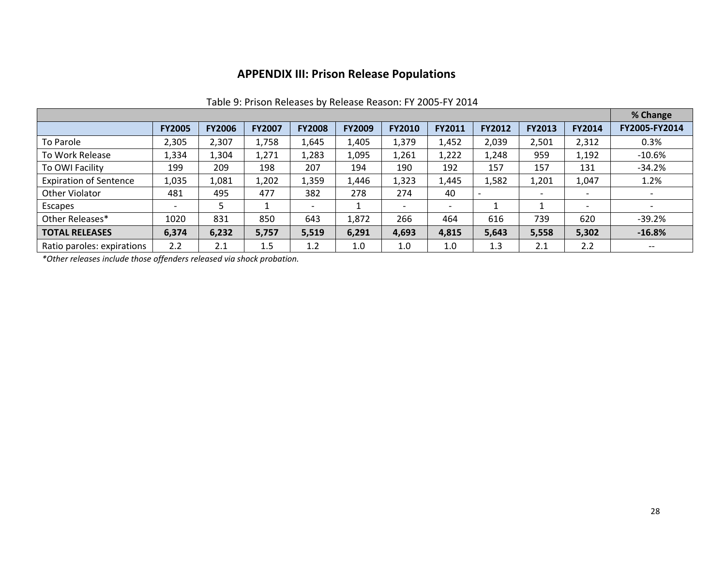#### **APPENDIX III: Prison Release Populations**

|                               | <b>FY2005</b>            | <b>FY2006</b> | <b>FY2007</b> | <b>FY2008</b>            | <b>FY2009</b> | <b>FY2010</b>            | FY2011 | <b>FY2012</b> | FY2013 | <b>FY2014</b>            | FY2005-FY2014            |
|-------------------------------|--------------------------|---------------|---------------|--------------------------|---------------|--------------------------|--------|---------------|--------|--------------------------|--------------------------|
| To Parole                     | 2,305                    | 2,307         | 1,758         | 1,645                    | 1,405         | 1,379                    | 1,452  | 2,039         | 2,501  | 2,312                    | 0.3%                     |
| To Work Release               | 1,334                    | 1,304         | 1,271         | 1,283                    | 1,095         | 1,261                    | 1,222  | 1,248         | 959    | 1,192                    | $-10.6%$                 |
| To OWI Facility               | 199                      | 209           | 198           | 207                      | 194           | 190                      | 192    | 157           | 157    | 131                      | $-34.2%$                 |
| <b>Expiration of Sentence</b> | 1,035                    | 1,081         | 1,202         | 1,359                    | 1,446         | 1,323                    | 1,445  | 1,582         | 1,201  | 1,047                    | 1.2%                     |
| Other Violator                | 481                      | 495           | 477           | 382                      | 278           | 274                      | 40     |               |        |                          |                          |
| Escapes                       | $\overline{\phantom{a}}$ |               |               | $\overline{\phantom{0}}$ |               | $\overline{\phantom{0}}$ | -      |               |        | $\overline{\phantom{0}}$ | $\overline{\phantom{a}}$ |
| Other Releases*               | 1020                     | 831           | 850           | 643                      | 1,872         | 266                      | 464    | 616           | 739    | 620                      | $-39.2%$                 |
| <b>TOTAL RELEASES</b>         | 6,374                    | 6,232         | 5,757         | 5,519                    | 6,291         | 4,693                    | 4,815  | 5,643         | 5,558  | 5,302                    | $-16.8%$                 |
| Ratio paroles: expirations    | 2.2                      | 2.1           | 1.5           | 1.2                      | 1.0           | 1.0                      | 1.0    | 1.3           | 2.1    | 2.2                      | $- -$                    |

#### Table 9: Prison Releases by Release Reason: FY 2005‐FY 2014

*\*Other releases include those offenders released via shock probation.*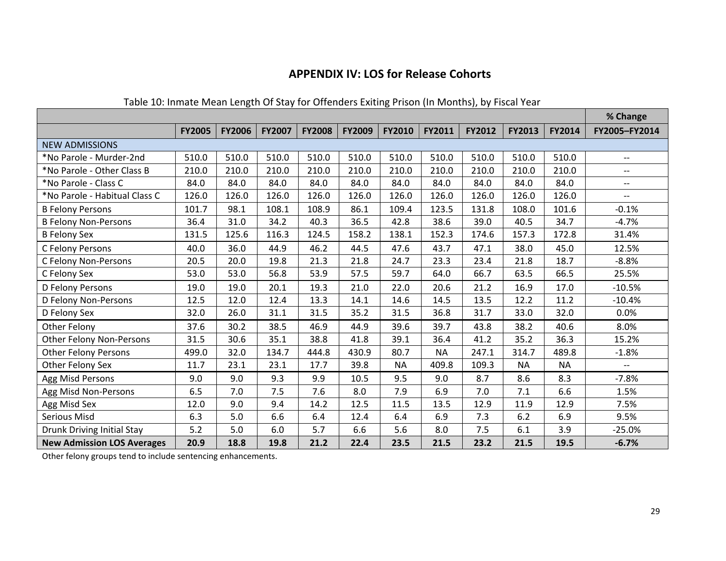## **APPENDIX IV: LOS for Release Cohorts**

| Table 10. Immate Mean Length Of Stay for Offenders Exiting Phson (In Months), by Fiscar Fear |               |               |               |               |               |               |           |               |               |               | % Change                 |
|----------------------------------------------------------------------------------------------|---------------|---------------|---------------|---------------|---------------|---------------|-----------|---------------|---------------|---------------|--------------------------|
|                                                                                              | <b>FY2005</b> | <b>FY2006</b> | <b>FY2007</b> | <b>FY2008</b> | <b>FY2009</b> | <b>FY2010</b> | FY2011    | <b>FY2012</b> | <b>FY2013</b> | <b>FY2014</b> | FY2005-FY2014            |
| <b>NEW ADMISSIONS</b>                                                                        |               |               |               |               |               |               |           |               |               |               |                          |
| *No Parole - Murder-2nd                                                                      | 510.0         | 510.0         | 510.0         | 510.0         | 510.0         | 510.0         | 510.0     | 510.0         | 510.0         | 510.0         | $-$                      |
| *No Parole - Other Class B                                                                   | 210.0         | 210.0         | 210.0         | 210.0         | 210.0         | 210.0         | 210.0     | 210.0         | 210.0         | 210.0         | $-$                      |
| *No Parole - Class C                                                                         | 84.0          | 84.0          | 84.0          | 84.0          | 84.0          | 84.0          | 84.0      | 84.0          | 84.0          | 84.0          | $\overline{\phantom{a}}$ |
| *No Parole - Habitual Class C                                                                | 126.0         | 126.0         | 126.0         | 126.0         | 126.0         | 126.0         | 126.0     | 126.0         | 126.0         | 126.0         | $- -$                    |
| <b>B Felony Persons</b>                                                                      | 101.7         | 98.1          | 108.1         | 108.9         | 86.1          | 109.4         | 123.5     | 131.8         | 108.0         | 101.6         | $-0.1%$                  |
| <b>B Felony Non-Persons</b>                                                                  | 36.4          | 31.0          | 34.2          | 40.3          | 36.5          | 42.8          | 38.6      | 39.0          | 40.5          | 34.7          | $-4.7%$                  |
| <b>B Felony Sex</b>                                                                          | 131.5         | 125.6         | 116.3         | 124.5         | 158.2         | 138.1         | 152.3     | 174.6         | 157.3         | 172.8         | 31.4%                    |
| C Felony Persons                                                                             | 40.0          | 36.0          | 44.9          | 46.2          | 44.5          | 47.6          | 43.7      | 47.1          | 38.0          | 45.0          | 12.5%                    |
| C Felony Non-Persons                                                                         | 20.5          | 20.0          | 19.8          | 21.3          | 21.8          | 24.7          | 23.3      | 23.4          | 21.8          | 18.7          | $-8.8%$                  |
| C Felony Sex                                                                                 | 53.0          | 53.0          | 56.8          | 53.9          | 57.5          | 59.7          | 64.0      | 66.7          | 63.5          | 66.5          | 25.5%                    |
| D Felony Persons                                                                             | 19.0          | 19.0          | 20.1          | 19.3          | 21.0          | 22.0          | 20.6      | 21.2          | 16.9          | 17.0          | $-10.5%$                 |
| D Felony Non-Persons                                                                         | 12.5          | 12.0          | 12.4          | 13.3          | 14.1          | 14.6          | 14.5      | 13.5          | 12.2          | 11.2          | $-10.4%$                 |
| D Felony Sex                                                                                 | 32.0          | 26.0          | 31.1          | 31.5          | 35.2          | 31.5          | 36.8      | 31.7          | 33.0          | 32.0          | 0.0%                     |
| Other Felony                                                                                 | 37.6          | 30.2          | 38.5          | 46.9          | 44.9          | 39.6          | 39.7      | 43.8          | 38.2          | 40.6          | 8.0%                     |
| <b>Other Felony Non-Persons</b>                                                              | 31.5          | 30.6          | 35.1          | 38.8          | 41.8          | 39.1          | 36.4      | 41.2          | 35.2          | 36.3          | 15.2%                    |
| <b>Other Felony Persons</b>                                                                  | 499.0         | 32.0          | 134.7         | 444.8         | 430.9         | 80.7          | <b>NA</b> | 247.1         | 314.7         | 489.8         | $-1.8%$                  |
| Other Felony Sex                                                                             | 11.7          | 23.1          | 23.1          | 17.7          | 39.8          | <b>NA</b>     | 409.8     | 109.3         | <b>NA</b>     | <b>NA</b>     |                          |
| Agg Misd Persons                                                                             | 9.0           | 9.0           | 9.3           | 9.9           | 10.5          | 9.5           | 9.0       | 8.7           | 8.6           | 8.3           | $-7.8%$                  |
| Agg Misd Non-Persons                                                                         | 6.5           | 7.0           | 7.5           | 7.6           | 8.0           | 7.9           | 6.9       | 7.0           | 7.1           | 6.6           | 1.5%                     |
| Agg Misd Sex                                                                                 | 12.0          | 9.0           | 9.4           | 14.2          | 12.5          | 11.5          | 13.5      | 12.9          | 11.9          | 12.9          | 7.5%                     |
| Serious Misd                                                                                 | 6.3           | 5.0           | 6.6           | 6.4           | 12.4          | 6.4           | 6.9       | 7.3           | 6.2           | 6.9           | 9.5%                     |
| Drunk Driving Initial Stay                                                                   | 5.2           | 5.0           | 6.0           | 5.7           | 6.6           | 5.6           | 8.0       | 7.5           | 6.1           | 3.9           | $-25.0%$                 |
| <b>New Admission LOS Averages</b>                                                            | 20.9          | 18.8          | 19.8          | 21.2          | 22.4          | 23.5          | 21.5      | 23.2          | 21.5          | 19.5          | $-6.7%$                  |

#### Table 10: Inmate Mean Length Of Stay for Offenders Exiting Prison (In Months), by Fiscal Year

Other felony groups tend to include sentencing enhancements.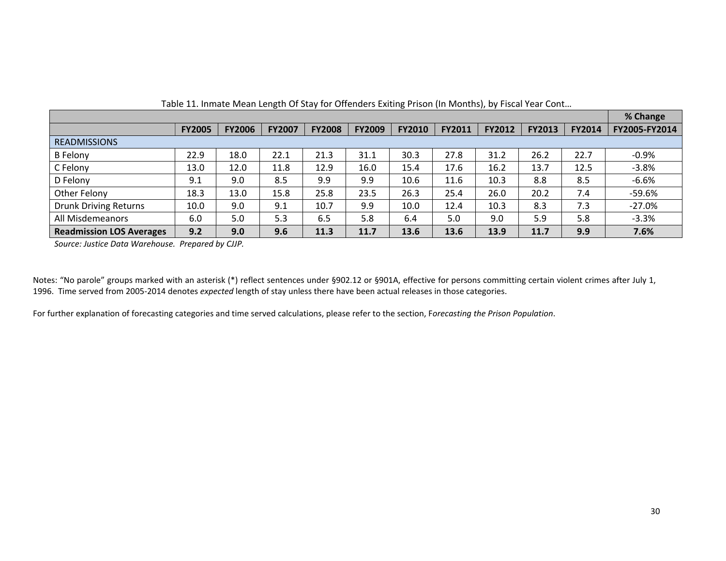|                                 |               |               |               |               |               |               |        |               |               |               | % Change      |
|---------------------------------|---------------|---------------|---------------|---------------|---------------|---------------|--------|---------------|---------------|---------------|---------------|
|                                 | <b>FY2005</b> | <b>FY2006</b> | <b>FY2007</b> | <b>FY2008</b> | <b>FY2009</b> | <b>FY2010</b> | FY2011 | <b>FY2012</b> | <b>FY2013</b> | <b>FY2014</b> | FY2005-FY2014 |
| <b>READMISSIONS</b>             |               |               |               |               |               |               |        |               |               |               |               |
| <b>B</b> Felony                 | 22.9          | 18.0          | 22.1          | 21.3          | 31.1          | 30.3          | 27.8   | 31.2          | 26.2          | 22.7          | $-0.9%$       |
| C Felony                        | 13.0          | 12.0          | 11.8          | 12.9          | 16.0          | 15.4          | 17.6   | 16.2          | 13.7          | 12.5          | $-3.8%$       |
| D Felony                        | 9.1           | 9.0           | 8.5           | 9.9           | 9.9           | 10.6          | 11.6   | 10.3          | 8.8           | 8.5           | $-6.6%$       |
| Other Felony                    | 18.3          | 13.0          | 15.8          | 25.8          | 23.5          | 26.3          | 25.4   | 26.0          | 20.2          | 7.4           | $-59.6%$      |
| <b>Drunk Driving Returns</b>    | 10.0          | 9.0           | 9.1           | 10.7          | 9.9           | 10.0          | 12.4   | 10.3          | 8.3           | 7.3           | $-27.0%$      |
| All Misdemeanors                | 6.0           | 5.0           | 5.3           | 6.5           | 5.8           | 6.4           | 5.0    | 9.0           | 5.9           | 5.8           | $-3.3%$       |
| <b>Readmission LOS Averages</b> | 9.2           | 9.0           | 9.6           | 11.3          | 11.7          | 13.6          | 13.6   | 13.9          | 11.7          | 9.9           | 7.6%          |

Table 11. Inmate Mean Length Of Stay for Offenders Exiting Prison (In Months), by Fiscal Year Cont…

*Source: Justice Data Warehouse. Prepared by CJJP.*

Notes: "No parole" groups marked with an asterisk (\*) reflect sentences under §902.12 or §901A, effective for persons committing certain violent crimes after July 1, 1996. Time served from 2005‐2014 denotes *expected* length of stay unless there have been actual releases in those categories.

For further explanation of forecasting categories and time served calculations, please refer to the section, F*orecasting the Prison Population*.